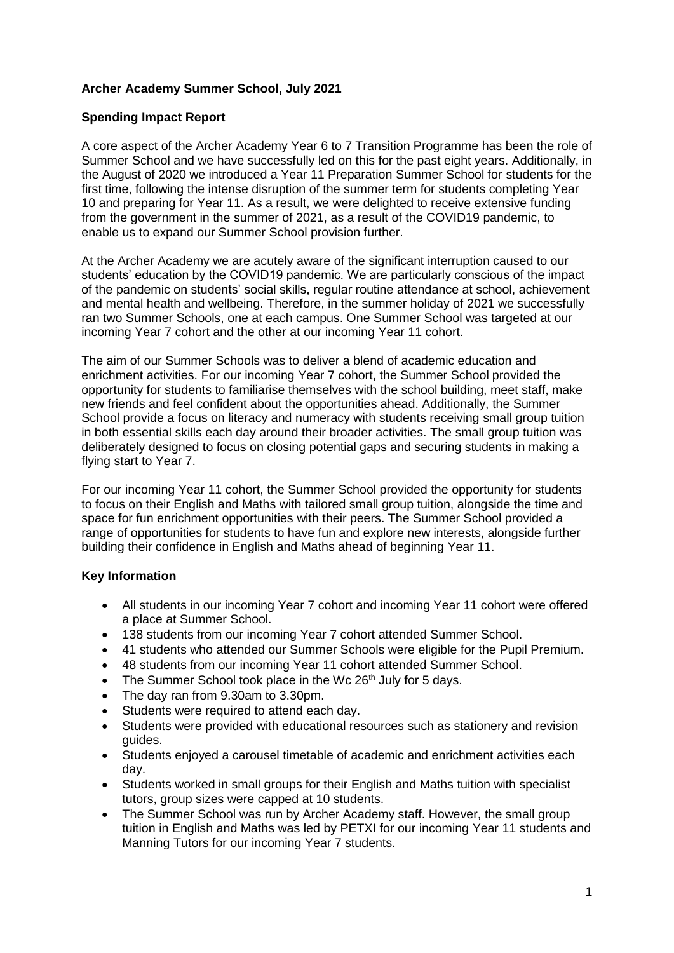## **Archer Academy Summer School, July 2021**

### **Spending Impact Report**

A core aspect of the Archer Academy Year 6 to 7 Transition Programme has been the role of Summer School and we have successfully led on this for the past eight years. Additionally, in the August of 2020 we introduced a Year 11 Preparation Summer School for students for the first time, following the intense disruption of the summer term for students completing Year 10 and preparing for Year 11. As a result, we were delighted to receive extensive funding from the government in the summer of 2021, as a result of the COVID19 pandemic, to enable us to expand our Summer School provision further.

At the Archer Academy we are acutely aware of the significant interruption caused to our students' education by the COVID19 pandemic. We are particularly conscious of the impact of the pandemic on students' social skills, regular routine attendance at school, achievement and mental health and wellbeing. Therefore, in the summer holiday of 2021 we successfully ran two Summer Schools, one at each campus. One Summer School was targeted at our incoming Year 7 cohort and the other at our incoming Year 11 cohort.

The aim of our Summer Schools was to deliver a blend of academic education and enrichment activities. For our incoming Year 7 cohort, the Summer School provided the opportunity for students to familiarise themselves with the school building, meet staff, make new friends and feel confident about the opportunities ahead. Additionally, the Summer School provide a focus on literacy and numeracy with students receiving small group tuition in both essential skills each day around their broader activities. The small group tuition was deliberately designed to focus on closing potential gaps and securing students in making a flying start to Year 7.

For our incoming Year 11 cohort, the Summer School provided the opportunity for students to focus on their English and Maths with tailored small group tuition, alongside the time and space for fun enrichment opportunities with their peers. The Summer School provided a range of opportunities for students to have fun and explore new interests, alongside further building their confidence in English and Maths ahead of beginning Year 11.

# **Key Information**

- All students in our incoming Year 7 cohort and incoming Year 11 cohort were offered a place at Summer School.
- 138 students from our incoming Year 7 cohort attended Summer School.
- 41 students who attended our Summer Schools were eligible for the Pupil Premium.
- 48 students from our incoming Year 11 cohort attended Summer School.
- The Summer School took place in the Wc  $26<sup>th</sup>$  July for 5 days.
- The day ran from 9.30am to 3.30pm.
- Students were required to attend each day.
- Students were provided with educational resources such as stationery and revision guides.
- Students enjoyed a carousel timetable of academic and enrichment activities each day.
- Students worked in small groups for their English and Maths tuition with specialist tutors, group sizes were capped at 10 students.
- The Summer School was run by Archer Academy staff. However, the small group tuition in English and Maths was led by PETXI for our incoming Year 11 students and Manning Tutors for our incoming Year 7 students.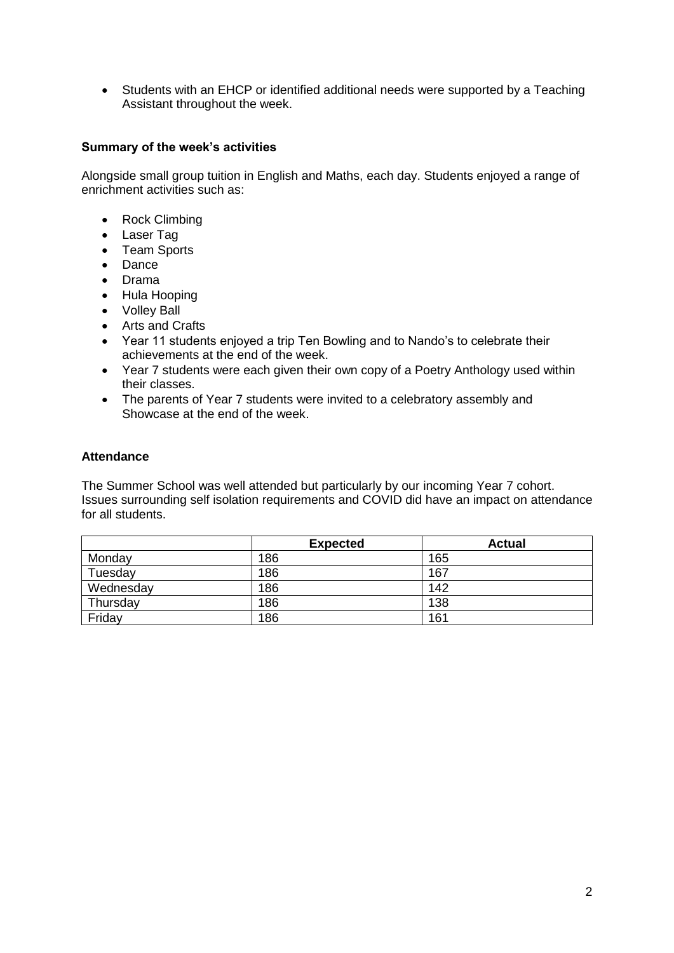• Students with an EHCP or identified additional needs were supported by a Teaching Assistant throughout the week.

## **Summary of the week's activities**

Alongside small group tuition in English and Maths, each day. Students enjoyed a range of enrichment activities such as:

- Rock Climbing
- Laser Tag
- Team Sports
- Dance
- Drama
- Hula Hooping
- Volley Ball
- Arts and Crafts
- Year 11 students enjoyed a trip Ten Bowling and to Nando's to celebrate their achievements at the end of the week.
- Year 7 students were each given their own copy of a Poetry Anthology used within their classes.
- The parents of Year 7 students were invited to a celebratory assembly and Showcase at the end of the week.

#### **Attendance**

The Summer School was well attended but particularly by our incoming Year 7 cohort. Issues surrounding self isolation requirements and COVID did have an impact on attendance for all students.

|           | <b>Expected</b> | <b>Actual</b> |
|-----------|-----------------|---------------|
| Monday    | 186             | 165           |
| Tuesday   | 186             | 167           |
| Wednesday | 186             | 142           |
| Thursday  | 186             | 138           |
| Friday    | 186             | 161           |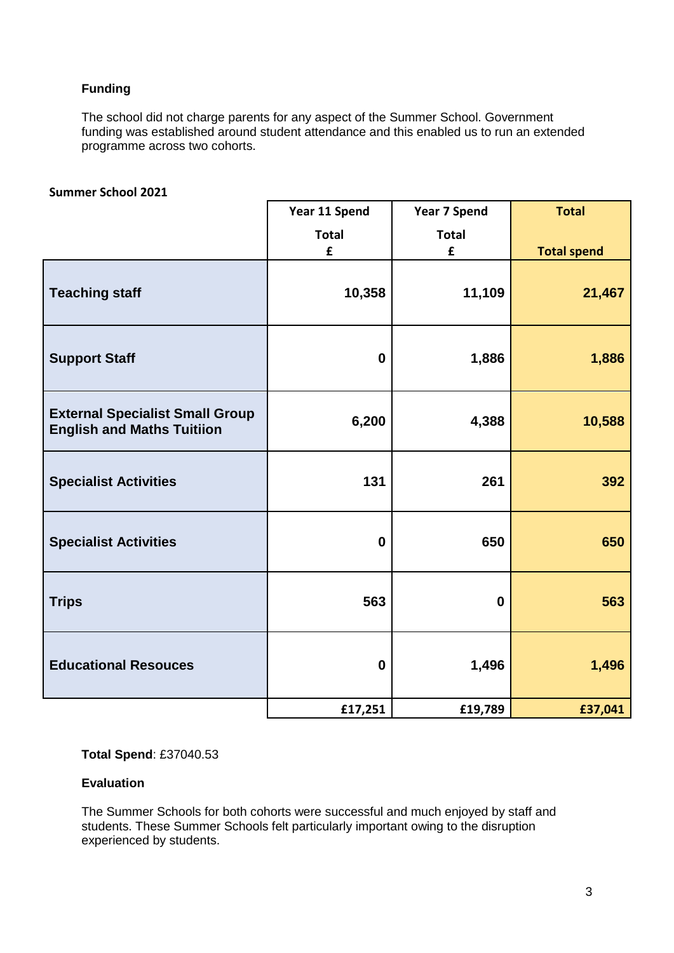# **Funding**

The school did not charge parents for any aspect of the Summer School. Government funding was established around student attendance and this enabled us to run an extended programme across two cohorts.

### **Summer School 2021**

|                                                                             | Year 11 Spend               | <b>Year 7 Spend</b>         | <b>Total</b>       |
|-----------------------------------------------------------------------------|-----------------------------|-----------------------------|--------------------|
|                                                                             | <b>Total</b><br>$\mathbf f$ | <b>Total</b><br>$\mathbf f$ | <b>Total spend</b> |
| <b>Teaching staff</b>                                                       | 10,358                      | 11,109                      | 21,467             |
| <b>Support Staff</b>                                                        | $\mathbf 0$                 | 1,886                       | 1,886              |
| <b>External Specialist Small Group</b><br><b>English and Maths Tuitiion</b> | 6,200                       | 4,388                       | 10,588             |
| <b>Specialist Activities</b>                                                | 131                         | 261                         | 392                |
| <b>Specialist Activities</b>                                                | $\mathbf 0$                 | 650                         | 650                |
| <b>Trips</b>                                                                | 563                         | $\boldsymbol{0}$            | 563                |
| <b>Educational Resouces</b>                                                 | $\boldsymbol{0}$            | 1,496                       | 1,496              |
|                                                                             | £17,251                     | £19,789                     | £37,041            |

**Total Spend**: £37040.53

#### **Evaluation**

The Summer Schools for both cohorts were successful and much enjoyed by staff and students. These Summer Schools felt particularly important owing to the disruption experienced by students.